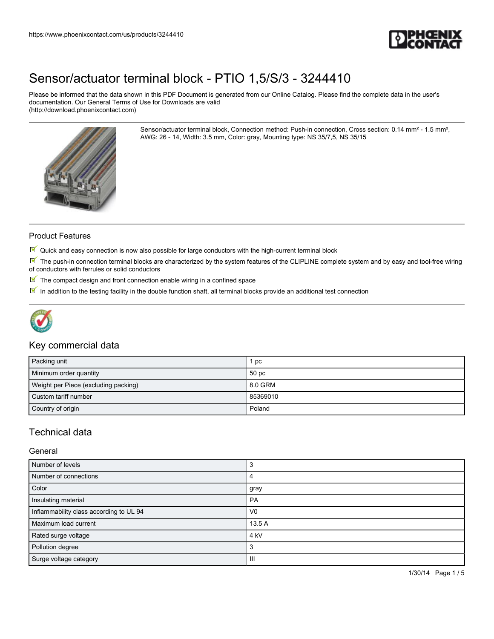

Please be informed that the data shown in this PDF Document is generated from our Online Catalog. Please find the complete data in the user's documentation. Our General Terms of Use for Downloads are valid (http://download.phoenixcontact.com)

> Sensor/actuator terminal block, Connection method: Push-in connection, Cross section: 0.14 mm² - 1.5 mm², AWG: 26 - 14, Width: 3.5 mm, Color: gray, Mounting type: NS 35/7,5, NS 35/15



#### Product Features

 $\Im$  Quick and easy connection is now also possible for large conductors with the high-current terminal block

 $\mathbb N$  The push-in connection terminal blocks are characterized by the system features of the CLIPLINE complete system and by easy and tool-free wiring of conductors with ferrules or solid conductors

- $\overline{\mathbb{M}}$  The compact design and front connection enable wiring in a confined space
- In addition to the testing facility in the double function shaft, all terminal blocks provide an additional test connection



### Key commercial data

| Packing unit                         | рc       |
|--------------------------------------|----------|
| Minimum order quantity               | 50 pc    |
| Weight per Piece (excluding packing) | 8.0 GRM  |
| Custom tariff number                 | 85369010 |
| Country of origin                    | Poland   |

### Technical data

#### General

| Number of levels                        | 3               |
|-----------------------------------------|-----------------|
| Number of connections                   |                 |
| Color                                   | gray            |
| Insulating material                     | PA              |
| Inflammability class according to UL 94 | V <sub>0</sub>  |
| Maximum load current                    | 13.5 A          |
| Rated surge voltage                     | 4 <sub>kV</sub> |
| Pollution degree                        | З               |
| Surge voltage category                  | Ш               |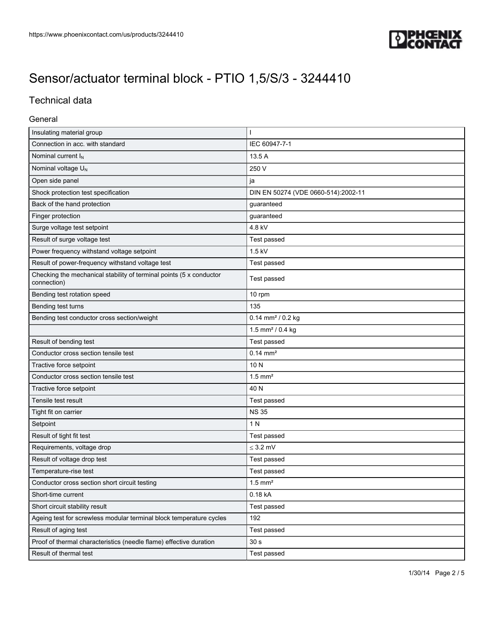

## Technical data

### General

| Insulating material group                                                          | ı                                   |
|------------------------------------------------------------------------------------|-------------------------------------|
| Connection in acc. with standard                                                   | IEC 60947-7-1                       |
| Nominal current I <sub>N</sub>                                                     | 13.5 A                              |
| Nominal voltage U <sub>N</sub>                                                     | 250 V                               |
| Open side panel                                                                    | ja                                  |
| Shock protection test specification                                                | DIN EN 50274 (VDE 0660-514):2002-11 |
| Back of the hand protection                                                        | guaranteed                          |
| Finger protection                                                                  | guaranteed                          |
| Surge voltage test setpoint                                                        | 4.8 kV                              |
| Result of surge voltage test                                                       | Test passed                         |
| Power frequency withstand voltage setpoint                                         | $1.5$ kV                            |
| Result of power-frequency withstand voltage test                                   | Test passed                         |
| Checking the mechanical stability of terminal points (5 x conductor<br>connection) | Test passed                         |
| Bending test rotation speed                                                        | 10 rpm                              |
| Bending test turns                                                                 | 135                                 |
| Bending test conductor cross section/weight                                        | $0.14$ mm <sup>2</sup> / 0.2 kg     |
|                                                                                    | 1.5 mm <sup>2</sup> / 0.4 kg        |
| Result of bending test                                                             | Test passed                         |
| Conductor cross section tensile test                                               | $0.14$ mm <sup>2</sup>              |
| Tractive force setpoint                                                            | 10N                                 |
| Conductor cross section tensile test                                               | $1.5$ mm <sup>2</sup>               |
| Tractive force setpoint                                                            | 40 N                                |
| Tensile test result                                                                | Test passed                         |
| Tight fit on carrier                                                               | <b>NS 35</b>                        |
| Setpoint                                                                           | 1 N                                 |
| Result of tight fit test                                                           | Test passed                         |
| Requirements, voltage drop                                                         | $\leq$ 3.2 mV                       |
| Result of voltage drop test                                                        | Test passed                         |
| Temperature-rise test                                                              | Test passed                         |
| Conductor cross section short circuit testing                                      | $1.5$ mm <sup>2</sup>               |
| Short-time current                                                                 | 0.18 kA                             |
| Short circuit stability result                                                     | Test passed                         |
| Ageing test for screwless modular terminal block temperature cycles                | 192                                 |
| Result of aging test                                                               | Test passed                         |
| Proof of thermal characteristics (needle flame) effective duration                 | 30 <sub>s</sub>                     |
| Result of thermal test                                                             | Test passed                         |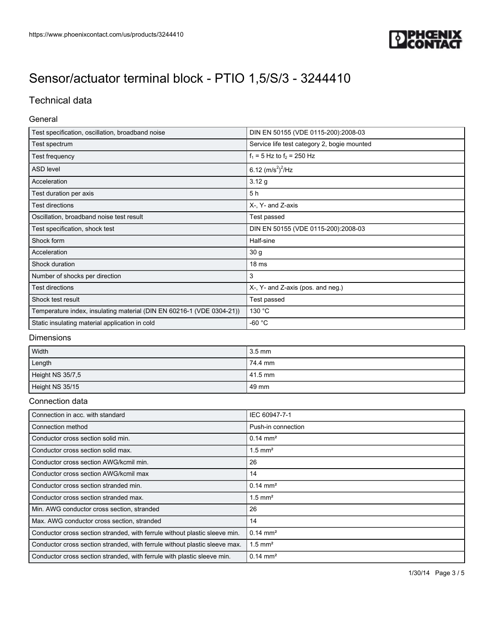

## Technical data

### General

| Test specification, oscillation, broadband noise                      | DIN EN 50155 (VDE 0115-200):2008-03         |
|-----------------------------------------------------------------------|---------------------------------------------|
| Test spectrum                                                         | Service life test category 2, bogie mounted |
| Test frequency                                                        | $f_1 = 5$ Hz to $f_2 = 250$ Hz              |
| <b>ASD level</b>                                                      | 6.12 $(m/s^2)^2$ /Hz                        |
| Acceleration                                                          | 3.12 g                                      |
| Test duration per axis                                                | 5 h                                         |
| <b>Test directions</b>                                                | X-, Y- and Z-axis                           |
| Oscillation, broadband noise test result                              | Test passed                                 |
| Test specification, shock test                                        | DIN EN 50155 (VDE 0115-200):2008-03         |
| Shock form                                                            | Half-sine                                   |
| Acceleration                                                          | 30 g                                        |
| Shock duration                                                        | 18 <sub>ms</sub>                            |
| Number of shocks per direction                                        | 3                                           |
| Test directions                                                       | X-, Y- and Z-axis (pos. and neg.)           |
| Shock test result                                                     | Test passed                                 |
| Temperature index, insulating material (DIN EN 60216-1 (VDE 0304-21)) | 130 °C                                      |
| Static insulating material application in cold                        | $-60 °C$                                    |

### Dimensions

| Width            | $3.5 \text{ mm}$ |
|------------------|------------------|
| Length           | 74.4 mm          |
| Height NS 35/7,5 | l 41.5 mm        |
| Height NS 35/15  | 49 mm            |

### Connection data

| Connection in acc. with standard                                           | IEC 60947-7-1         |
|----------------------------------------------------------------------------|-----------------------|
| Connection method                                                          | Push-in connection    |
| Conductor cross section solid min.                                         | $0.14 \text{ mm}^2$   |
| Conductor cross section solid max.                                         | $1.5$ mm <sup>2</sup> |
| Conductor cross section AWG/kcmil min.                                     | 26                    |
| Conductor cross section AWG/kcmil max                                      | 14                    |
| Conductor cross section stranded min.                                      | $0.14 \text{ mm}^2$   |
| Conductor cross section stranded max.                                      | $1.5$ mm <sup>2</sup> |
| Min. AWG conductor cross section, stranded                                 | 26                    |
| Max. AWG conductor cross section, stranded                                 | 14                    |
| Conductor cross section stranded, with ferrule without plastic sleeve min. | $0.14 \text{ mm}^2$   |
| Conductor cross section stranded, with ferrule without plastic sleeve max. | $1.5$ mm <sup>2</sup> |
| Conductor cross section stranded, with ferrule with plastic sleeve min.    | $0.14 \text{ mm}^2$   |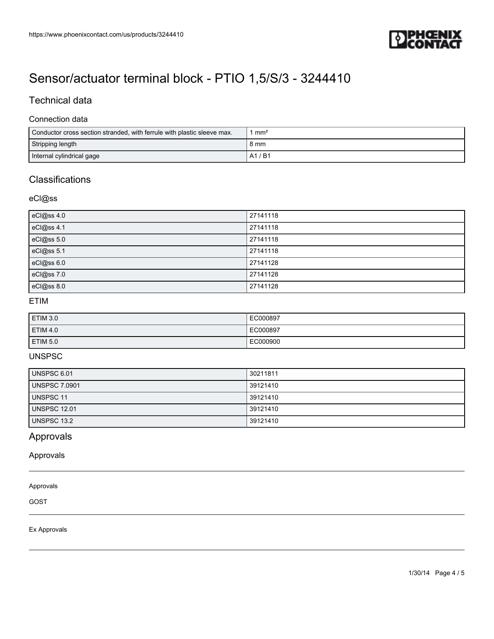

## Technical data

### Connection data

| Conductor cross section stranded, with ferrule with plastic sleeve max. | mm <sup>2</sup> |
|-------------------------------------------------------------------------|-----------------|
| Stripping length                                                        | 8 mm            |
| Internal cylindrical gage                                               | / B1<br>A1      |

# **Classifications**

### eCl@ss

| eCl@ss 4.0 | 27141118 |
|------------|----------|
| eCl@ss 4.1 | 27141118 |
| eCl@ss 5.0 | 27141118 |
| eCl@ss 5.1 | 27141118 |
| eCl@ss 6.0 | 27141128 |
| eCl@ss 7.0 | 27141128 |
| eCl@ss 8.0 | 27141128 |

### ETIM

| <b>ETIM 3.0</b> | EC000897 |
|-----------------|----------|
| <b>ETIM 4.0</b> | EC000897 |
| <b>ETIM 5.0</b> | EC000900 |

### UNSPSC

| UNSPSC 6.01          | 30211811 |
|----------------------|----------|
| <b>UNSPSC 7.0901</b> | 39121410 |
| <b>UNSPSC 11</b>     | 39121410 |
| <b>UNSPSC 12.01</b>  | 39121410 |
| UNSPSC 13.2          | 39121410 |

## Approvals

Approvals

#### Approvals

GOST

Ex Approvals